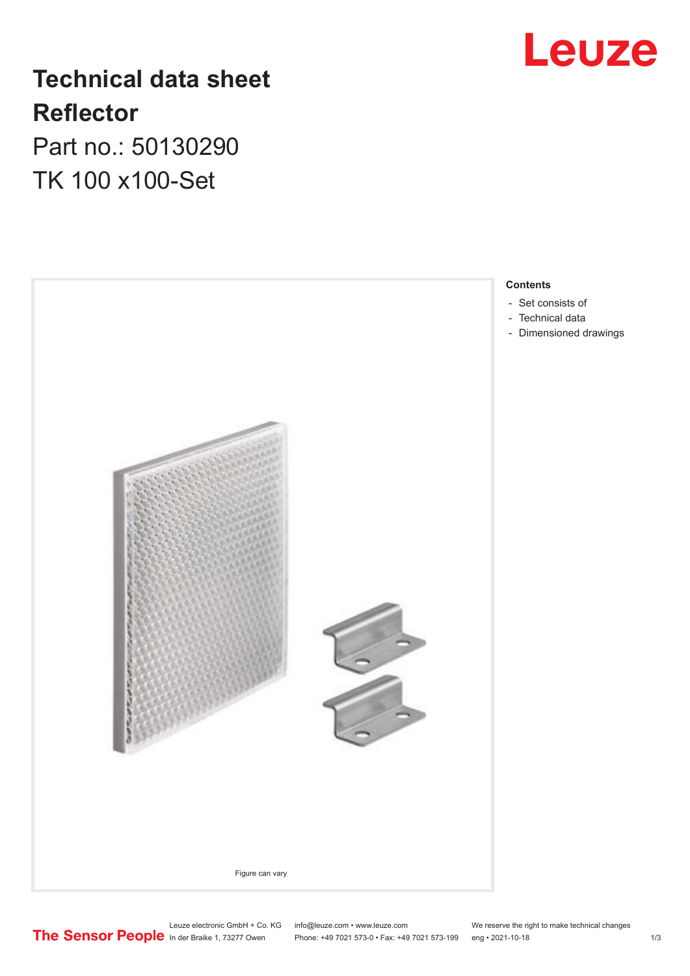

### **Technical data sheet Reflector**

Part no.: 50130290 TK 100 x100-Set



Leuze electronic GmbH + Co. KG info@leuze.com • www.leuze.com We reserve the right to make technical changes<br>
The Sensor People in der Braike 1, 73277 Owen Phone: +49 7021 573-0 • Fax: +49 7021 573-199 eng • 2021-10-18

Phone: +49 7021 573-0 • Fax: +49 7021 573-199 eng • 2021-10-18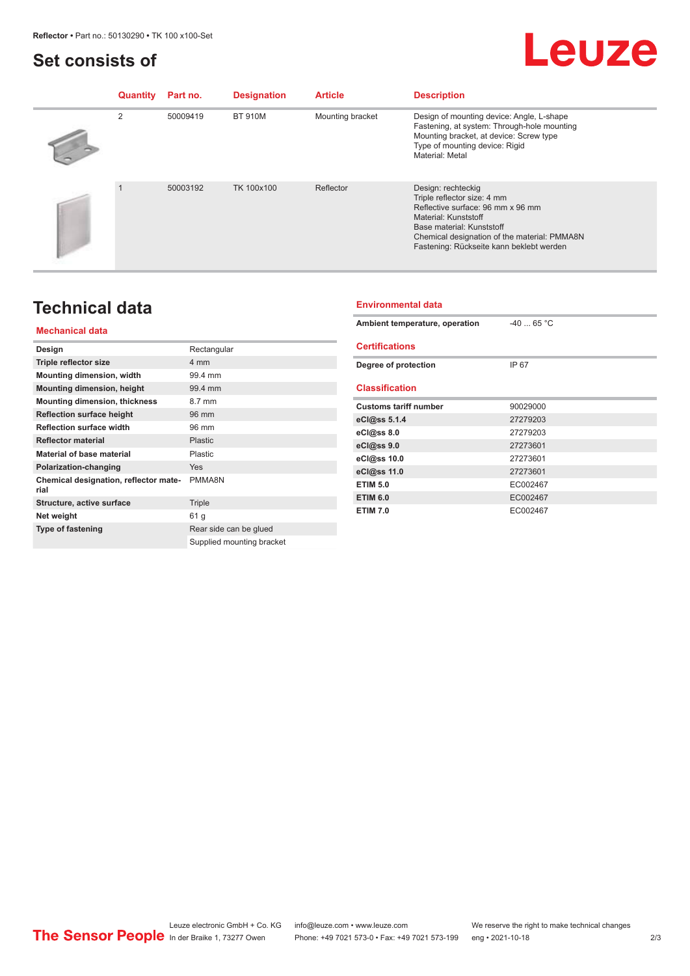#### <span id="page-1-0"></span>**Set consists of**

## Leuze

| <b>Quantity</b> | Part no. | <b>Designation</b> | <b>Article</b>   | <b>Description</b>                                                                                                                                                                                                                      |
|-----------------|----------|--------------------|------------------|-----------------------------------------------------------------------------------------------------------------------------------------------------------------------------------------------------------------------------------------|
| 2               | 50009419 | <b>BT 910M</b>     | Mounting bracket | Design of mounting device: Angle, L-shape<br>Fastening, at system: Through-hole mounting<br>Mounting bracket, at device: Screw type<br>Type of mounting device: Rigid<br>Material: Metal                                                |
|                 | 50003192 | TK 100x100         | Reflector        | Design: rechteckig<br>Triple reflector size: 4 mm<br>Reflective surface: 96 mm x 96 mm<br>Material: Kunststoff<br>Base material: Kunststoff<br>Chemical designation of the material: PMMA8N<br>Fastening: Rückseite kann beklebt werden |

#### **Technical data**

#### **Environmental data**

| <b>Mechanical data</b>                        |                           |  |
|-----------------------------------------------|---------------------------|--|
| Design                                        | Rectangular               |  |
| Triple reflector size                         | 4 mm                      |  |
| <b>Mounting dimension, width</b>              | 99.4 mm                   |  |
| <b>Mounting dimension, height</b>             | 99.4 mm                   |  |
| <b>Mounting dimension, thickness</b>          | 8.7 mm                    |  |
| <b>Reflection surface height</b>              | 96 mm                     |  |
| <b>Reflection surface width</b>               | 96 mm                     |  |
| <b>Reflector material</b>                     | <b>Plastic</b>            |  |
| Material of base material                     | Plastic                   |  |
| Polarization-changing                         | Yes                       |  |
| Chemical designation, reflector mate-<br>rial | PMMA8N                    |  |
| Structure, active surface                     | Triple                    |  |
| Net weight                                    | 61 q                      |  |
| <b>Type of fastening</b>                      | Rear side can be glued    |  |
|                                               | Supplied mounting bracket |  |

| Ambient temperature, operation | $-4065 °C$ |  |  |
|--------------------------------|------------|--|--|
| <b>Certifications</b>          |            |  |  |
| Degree of protection           | IP 67      |  |  |
| <b>Classification</b>          |            |  |  |
| <b>Customs tariff number</b>   | 90029000   |  |  |
| eCl@ss 5.1.4                   | 27279203   |  |  |
| eCl@ss 8.0                     | 27279203   |  |  |
| eCl@ss 9.0                     | 27273601   |  |  |
| eCl@ss 10.0                    | 27273601   |  |  |
| eCl@ss 11.0                    | 27273601   |  |  |
| <b>ETIM 5.0</b>                | EC002467   |  |  |
| <b>ETIM 6.0</b>                | EC002467   |  |  |
| <b>ETIM 7.0</b>                | EC002467   |  |  |